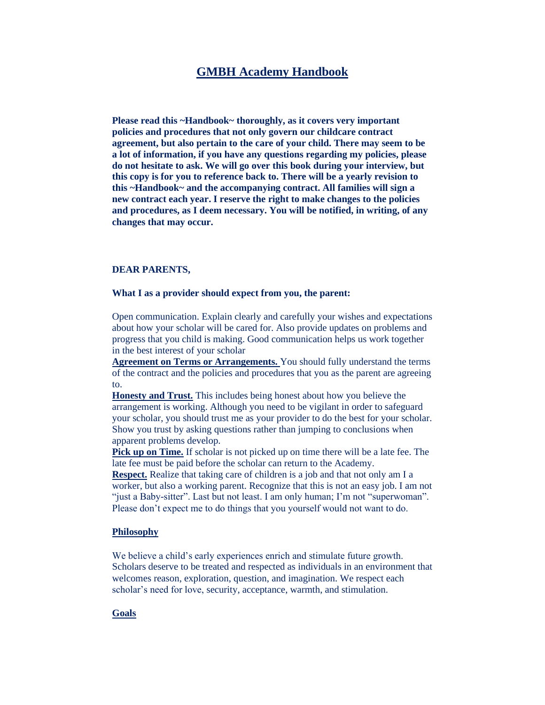# **GMBH Academy Handbook**

**Please read this ~Handbook~ thoroughly, as it covers very important policies and procedures that not only govern our childcare contract agreement, but also pertain to the care of your child. There may seem to be a lot of information, if you have any questions regarding my policies, please do not hesitate to ask. We will go over this book during your interview, but this copy is for you to reference back to. There will be a yearly revision to this ~Handbook~ and the accompanying contract. All families will sign a new contract each year. I reserve the right to make changes to the policies and procedures, as I deem necessary. You will be notified, in writing, of any changes that may occur.** 

### **DEAR PARENTS,**

### **What I as a provider should expect from you, the parent:**

Open communication. Explain clearly and carefully your wishes and expectations about how your scholar will be cared for. Also provide updates on problems and progress that you child is making. Good communication helps us work together in the best interest of your scholar

**Agreement on Terms or Arrangements.** You should fully understand the terms of the contract and the policies and procedures that you as the parent are agreeing to.

**Honesty and Trust.** This includes being honest about how you believe the arrangement is working. Although you need to be vigilant in order to safeguard your scholar, you should trust me as your provider to do the best for your scholar. Show you trust by asking questions rather than jumping to conclusions when apparent problems develop.

**Pick up on Time.** If scholar is not picked up on time there will be a late fee. The late fee must be paid before the scholar can return to the Academy.

**Respect.** Realize that taking care of children is a job and that not only am I a worker, but also a working parent. Recognize that this is not an easy job. I am not "just a Baby-sitter". Last but not least. I am only human; I'm not "superwoman". Please don't expect me to do things that you yourself would not want to do.

### **Philosophy**

We believe a child's early experiences enrich and stimulate future growth. Scholars deserve to be treated and respected as individuals in an environment that welcomes reason, exploration, question, and imagination. We respect each scholar's need for love, security, acceptance, warmth, and stimulation.

### **Goals**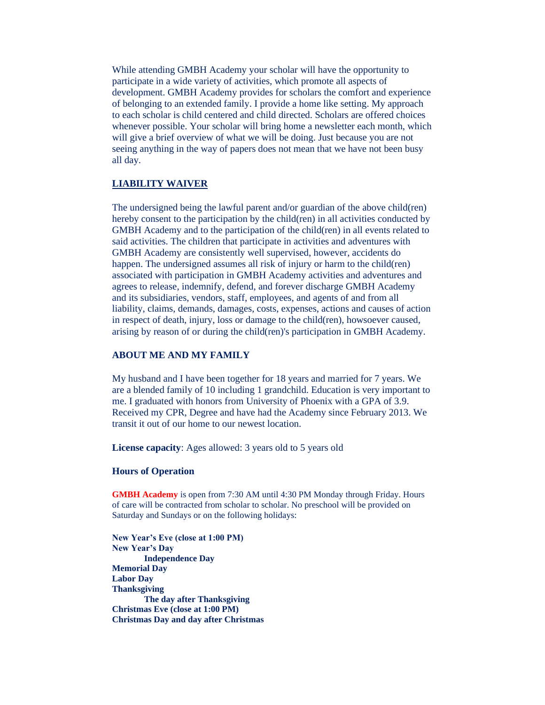While attending GMBH Academy your scholar will have the opportunity to participate in a wide variety of activities, which promote all aspects of development. GMBH Academy provides for scholars the comfort and experience of belonging to an extended family. I provide a home like setting. My approach to each scholar is child centered and child directed. Scholars are offered choices whenever possible. Your scholar will bring home a newsletter each month, which will give a brief overview of what we will be doing. Just because you are not seeing anything in the way of papers does not mean that we have not been busy all day.

## **LIABILITY WAIVER**

The undersigned being the lawful parent and/or guardian of the above child(ren) hereby consent to the participation by the child(ren) in all activities conducted by GMBH Academy and to the participation of the child(ren) in all events related to said activities. The children that participate in activities and adventures with GMBH Academy are consistently well supervised, however, accidents do happen. The undersigned assumes all risk of injury or harm to the child(ren) associated with participation in GMBH Academy activities and adventures and agrees to release, indemnify, defend, and forever discharge GMBH Academy and its subsidiaries, vendors, staff, employees, and agents of and from all liability, claims, demands, damages, costs, expenses, actions and causes of action in respect of death, injury, loss or damage to the child(ren), howsoever caused, arising by reason of or during the child(ren)'s participation in GMBH Academy.

## **ABOUT ME AND MY FAMILY**

My husband and I have been together for 18 years and married for 7 years. We are a blended family of 10 including 1 grandchild. Education is very important to me. I graduated with honors from University of Phoenix with a GPA of 3.9. Received my CPR, Degree and have had the Academy since February 2013. We transit it out of our home to our newest location.

**License capacity**: Ages allowed: 3 years old to 5 years old

## **Hours of Operation**

**GMBH Academy** is open from 7:30 AM until 4:30 PM Monday through Friday. Hours of care will be contracted from scholar to scholar. No preschool will be provided on Saturday and Sundays or on the following holidays:

**New Year's Eve (close at 1:00 PM) New Year's Day Independence Day Memorial Day Labor Day Thanksgiving The day after Thanksgiving Christmas Eve (close at 1:00 PM) Christmas Day and day after Christmas**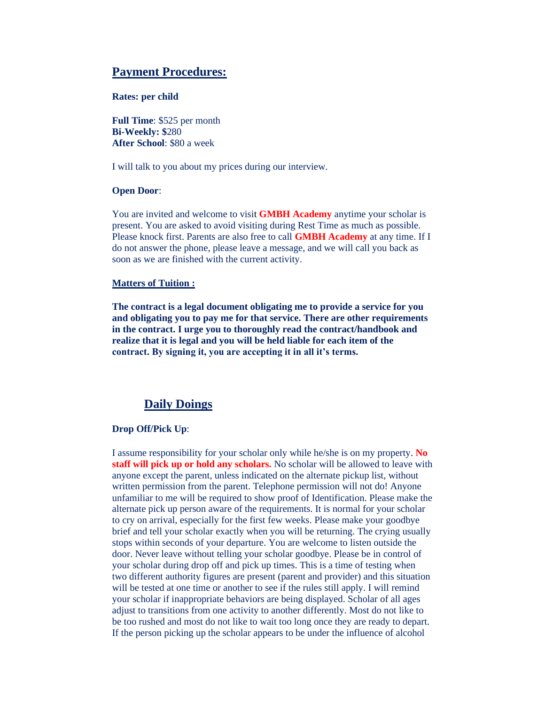# **Payment Procedures:**

### **Rates: per child**

**Full Time**: \$525 per month **Bi-Weekly: \$**280 **After School**: \$80 a week

I will talk to you about my prices during our interview.

### **Open Door**:

You are invited and welcome to visit **GMBH Academy** anytime your scholar is present. You are asked to avoid visiting during Rest Time as much as possible. Please knock first. Parents are also free to call **GMBH Academy** at any time. If I do not answer the phone, please leave a message, and we will call you back as soon as we are finished with the current activity.

## **Matters of Tuition :**

**The contract is a legal document obligating me to provide a service for you and obligating you to pay me for that service. There are other requirements in the contract. I urge you to thoroughly read the contract/handbook and realize that it is legal and you will be held liable for each item of the contract. By signing it, you are accepting it in all it's terms.** 

## **Daily Doings**

## **Drop Off/Pick Up**:

I assume responsibility for your scholar only while he/she is on my property. **No staff will pick up or hold any scholars.** No scholar will be allowed to leave with anyone except the parent, unless indicated on the alternate pickup list, without written permission from the parent. Telephone permission will not do! Anyone unfamiliar to me will be required to show proof of Identification. Please make the alternate pick up person aware of the requirements. It is normal for your scholar to cry on arrival, especially for the first few weeks. Please make your goodbye brief and tell your scholar exactly when you will be returning. The crying usually stops within seconds of your departure. You are welcome to listen outside the door. Never leave without telling your scholar goodbye. Please be in control of your scholar during drop off and pick up times. This is a time of testing when two different authority figures are present (parent and provider) and this situation will be tested at one time or another to see if the rules still apply. I will remind your scholar if inappropriate behaviors are being displayed. Scholar of all ages adjust to transitions from one activity to another differently. Most do not like to be too rushed and most do not like to wait too long once they are ready to depart. If the person picking up the scholar appears to be under the influence of alcohol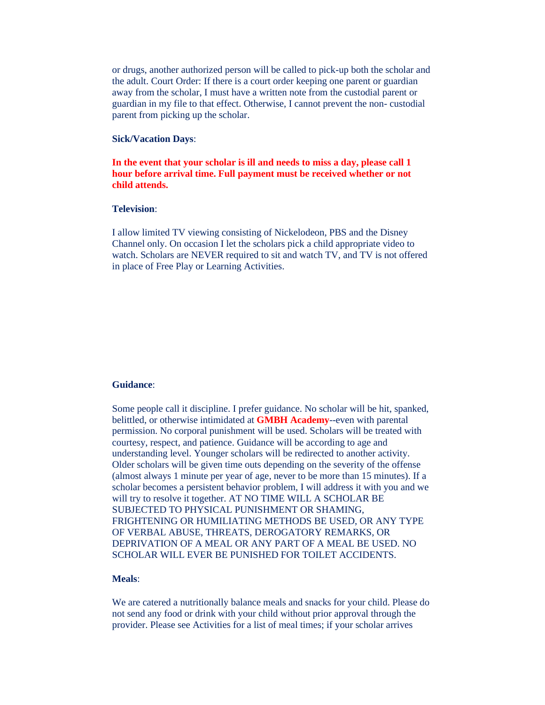or drugs, another authorized person will be called to pick-up both the scholar and the adult. Court Order: If there is a court order keeping one parent or guardian away from the scholar, I must have a written note from the custodial parent or guardian in my file to that effect. Otherwise, I cannot prevent the non- custodial parent from picking up the scholar.

## **Sick/Vacation Days**:

## **In the event that your scholar is ill and needs to miss a day, please call 1 hour before arrival time. Full payment must be received whether or not child attends.**

### **Television**:

I allow limited TV viewing consisting of Nickelodeon, PBS and the Disney Channel only. On occasion I let the scholars pick a child appropriate video to watch. Scholars are NEVER required to sit and watch TV, and TV is not offered in place of Free Play or Learning Activities.

#### **Guidance**:

Some people call it discipline. I prefer guidance. No scholar will be hit, spanked, belittled, or otherwise intimidated at **GMBH Academy**--even with parental permission. No corporal punishment will be used. Scholars will be treated with courtesy, respect, and patience. Guidance will be according to age and understanding level. Younger scholars will be redirected to another activity. Older scholars will be given time outs depending on the severity of the offense (almost always 1 minute per year of age, never to be more than 15 minutes). If a scholar becomes a persistent behavior problem, I will address it with you and we will try to resolve it together. AT NO TIME WILL A SCHOLAR BE SUBJECTED TO PHYSICAL PUNISHMENT OR SHAMING, FRIGHTENING OR HUMILIATING METHODS BE USED, OR ANY TYPE OF VERBAL ABUSE, THREATS, DEROGATORY REMARKS, OR DEPRIVATION OF A MEAL OR ANY PART OF A MEAL BE USED. NO SCHOLAR WILL EVER BE PUNISHED FOR TOILET ACCIDENTS.

## **Meals**:

We are catered a nutritionally balance meals and snacks for your child. Please do not send any food or drink with your child without prior approval through the provider. Please see Activities for a list of meal times; if your scholar arrives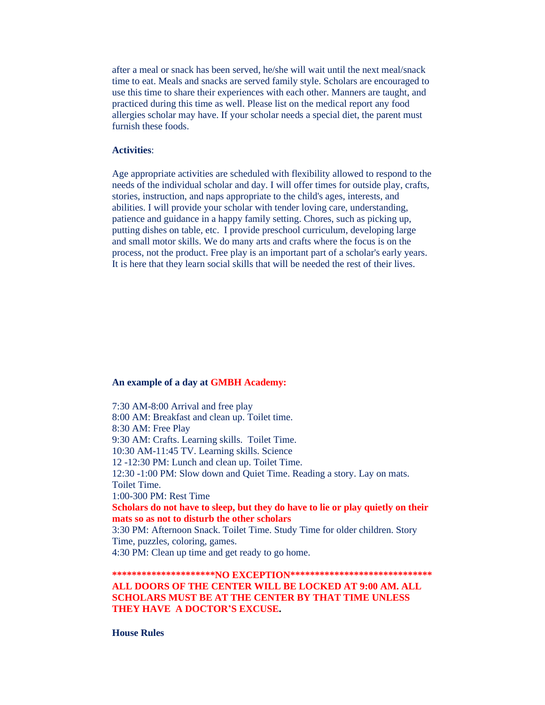after a meal or snack has been served, he/she will wait until the next meal/snack time to eat. Meals and snacks are served family style. Scholars are encouraged to use this time to share their experiences with each other. Manners are taught, and practiced during this time as well. Please list on the medical report any food allergies scholar may have. If your scholar needs a special diet, the parent must furnish these foods.

### **Activities**:

Age appropriate activities are scheduled with flexibility allowed to respond to the needs of the individual scholar and day. I will offer times for outside play, crafts, stories, instruction, and naps appropriate to the child's ages, interests, and abilities. I will provide your scholar with tender loving care, understanding, patience and guidance in a happy family setting. Chores, such as picking up, putting dishes on table, etc. I provide preschool curriculum, developing large and small motor skills. We do many arts and crafts where the focus is on the process, not the product. Free play is an important part of a scholar's early years. It is here that they learn social skills that will be needed the rest of their lives.

### **An example of a day at GMBH Academy:**

7:30 AM-8:00 Arrival and free play 8:00 AM: Breakfast and clean up. Toilet time. 8:30 AM: Free Play 9:30 AM: Crafts. Learning skills. Toilet Time. 10:30 AM-11:45 TV. Learning skills. Science 12 -12:30 PM: Lunch and clean up. Toilet Time. 12:30 -1:00 PM: Slow down and Quiet Time. Reading a story. Lay on mats. Toilet Time. 1:00-300 PM: Rest Time **Scholars do not have to sleep, but they do have to lie or play quietly on their mats so as not to disturb the other scholars** 3:30 PM: Afternoon Snack. Toilet Time. Study Time for older children. Story Time, puzzles, coloring, games.

4:30 PM: Clean up time and get ready to go home.

## **\*\*\*\*\*\*\*\*\*\*\*\*\*\*\*\*\*\*\*\*\*NO EXCEPTION\*\*\*\*\*\*\*\*\*\*\*\*\*\*\*\*\*\*\*\*\*\*\*\*\*\*\*\*\* ALL DOORS OF THE CENTER WILL BE LOCKED AT 9:00 AM. ALL SCHOLARS MUST BE AT THE CENTER BY THAT TIME UNLESS THEY HAVE A DOCTOR'S EXCUSE.**

**House Rules**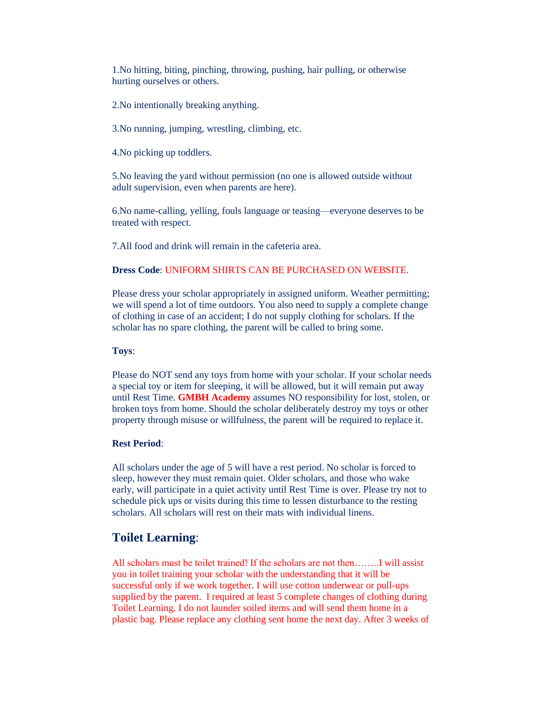1.No hitting, biting, pinching, throwing, pushing, hair pulling, or otherwise hurting ourselves or others.

2.No intentionally breaking anything.

3.No running, jumping, wrestling, climbing, etc.

4.No picking up toddlers.

5.No leaving the yard without permission (no one is allowed outside without adult supervision, even when parents are here).

6.No name-calling, yelling, fouls language or teasing—everyone deserves to be treated with respect.

7.All food and drink will remain in the cafeteria area.

## **Dress Code**: UNIFORM SHIRTS CAN BE PURCHASED ON WEBSITE.

Please dress your scholar appropriately in assigned uniform. Weather permitting; we will spend a lot of time outdoors. You also need to supply a complete change of clothing in case of an accident; I do not supply clothing for scholars. If the scholar has no spare clothing, the parent will be called to bring some.

### **Toys**:

Please do NOT send any toys from home with your scholar. If your scholar needs a special toy or item for sleeping, it will be allowed, but it will remain put away until Rest Time. **GMBH Academy** assumes NO responsibility for lost, stolen, or broken toys from home. Should the scholar deliberately destroy my toys or other property through misuse or willfulness, the parent will be required to replace it.

### **Rest Period**:

All scholars under the age of 5 will have a rest period. No scholar is forced to sleep, however they must remain quiet. Older scholars, and those who wake early, will participate in a quiet activity until Rest Time is over. Please try not to schedule pick ups or visits during this time to lessen disturbance to the resting scholars. All scholars will rest on their mats with individual linens.

## **Toilet Learning**:

All scholars must be toilet trained! If the scholars are not then……..I will assist you in toilet training your scholar with the understanding that it will be successful only if we work together. I will use cotton underwear or pull-ups supplied by the parent. I required at least 5 complete changes of clothing during Toilet Learning. I do not launder soiled items and will send them home in a plastic bag. Please replace any clothing sent home the next day. After 3 weeks of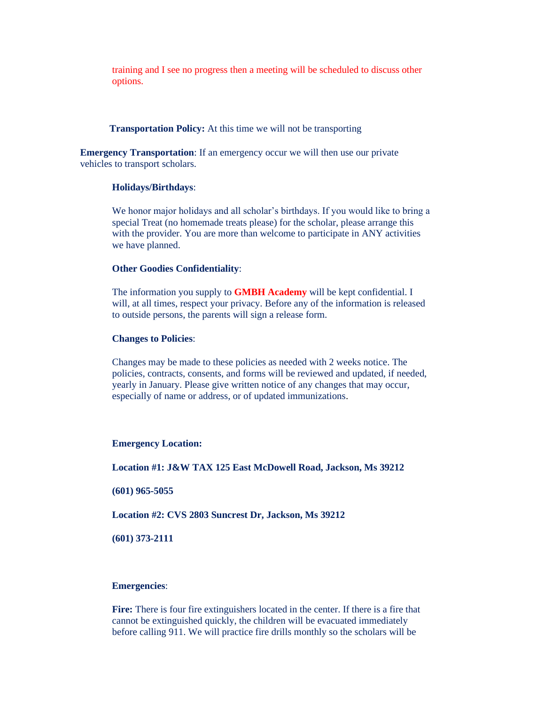training and I see no progress then a meeting will be scheduled to discuss other options.

**Transportation Policy:** At this time we will not be transporting

**Emergency Transportation**: If an emergency occur we will then use our private vehicles to transport scholars.

### **Holidays/Birthdays**:

We honor major holidays and all scholar's birthdays. If you would like to bring a special Treat (no homemade treats please) for the scholar, please arrange this with the provider. You are more than welcome to participate in ANY activities we have planned.

### **Other Goodies Confidentiality**:

The information you supply to **GMBH Academy** will be kept confidential. I will, at all times, respect your privacy. Before any of the information is released to outside persons, the parents will sign a release form.

### **Changes to Policies**:

Changes may be made to these policies as needed with 2 weeks notice. The policies, contracts, consents, and forms will be reviewed and updated, if needed, yearly in January. Please give written notice of any changes that may occur, especially of name or address, or of updated immunizations.

### **Emergency Location:**

**Location #1: J&W TAX 125 East McDowell Road, Jackson, Ms 39212**

**(601) 965-5055**

**Location #2: CVS 2803 Suncrest Dr, Jackson, Ms 39212**

**(601) 373-2111**

## **Emergencies**:

**Fire:** There is four fire extinguishers located in the center. If there is a fire that cannot be extinguished quickly, the children will be evacuated immediately before calling 911. We will practice fire drills monthly so the scholars will be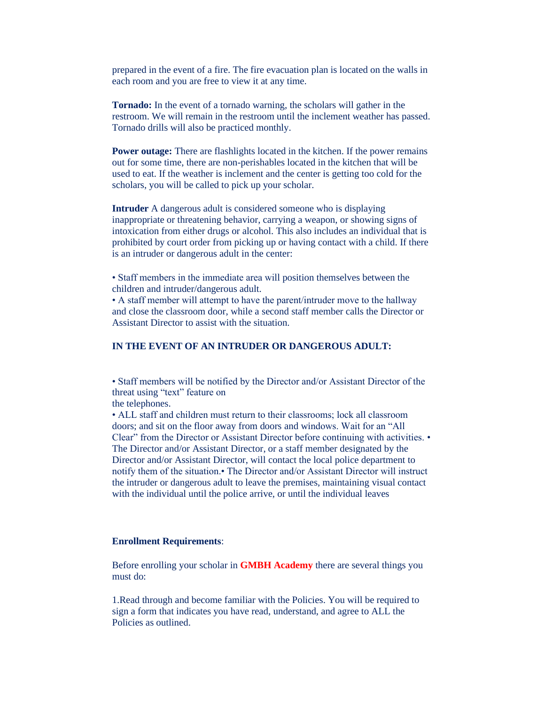prepared in the event of a fire. The fire evacuation plan is located on the walls in each room and you are free to view it at any time.

**Tornado:** In the event of a tornado warning, the scholars will gather in the restroom. We will remain in the restroom until the inclement weather has passed. Tornado drills will also be practiced monthly.

**Power outage:** There are flashlights located in the kitchen. If the power remains out for some time, there are non-perishables located in the kitchen that will be used to eat. If the weather is inclement and the center is getting too cold for the scholars, you will be called to pick up your scholar.

**Intruder** A dangerous adult is considered someone who is displaying inappropriate or threatening behavior, carrying a weapon, or showing signs of intoxication from either drugs or alcohol. This also includes an individual that is prohibited by court order from picking up or having contact with a child. If there is an intruder or dangerous adult in the center:

• Staff members in the immediate area will position themselves between the children and intruder/dangerous adult.

• A staff member will attempt to have the parent/intruder move to the hallway and close the classroom door, while a second staff member calls the Director or Assistant Director to assist with the situation.

## **IN THE EVENT OF AN INTRUDER OR DANGEROUS ADULT:**

• Staff members will be notified by the Director and/or Assistant Director of the threat using "text" feature on

the telephones.

• ALL staff and children must return to their classrooms; lock all classroom doors; and sit on the floor away from doors and windows. Wait for an "All Clear" from the Director or Assistant Director before continuing with activities. • The Director and/or Assistant Director, or a staff member designated by the Director and/or Assistant Director, will contact the local police department to notify them of the situation.• The Director and/or Assistant Director will instruct the intruder or dangerous adult to leave the premises, maintaining visual contact with the individual until the police arrive, or until the individual leaves

## **Enrollment Requirements**:

Before enrolling your scholar in **GMBH Academy** there are several things you must do:

1.Read through and become familiar with the Policies. You will be required to sign a form that indicates you have read, understand, and agree to ALL the Policies as outlined.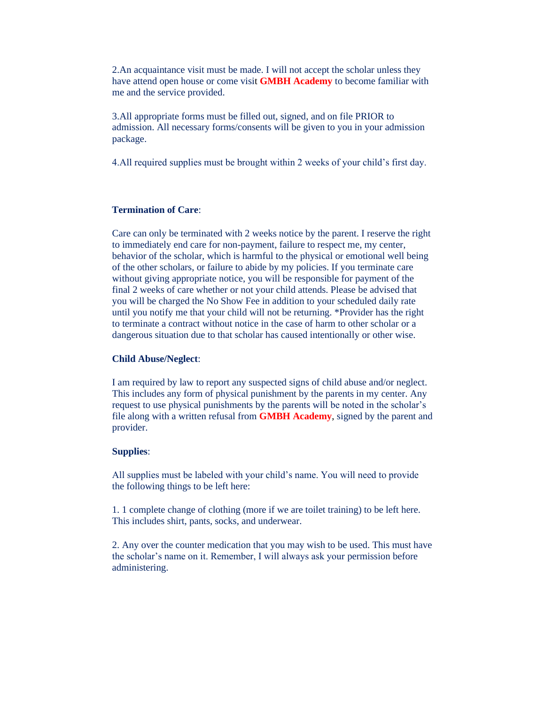2.An acquaintance visit must be made. I will not accept the scholar unless they have attend open house or come visit **GMBH Academy** to become familiar with me and the service provided.

3.All appropriate forms must be filled out, signed, and on file PRIOR to admission. All necessary forms/consents will be given to you in your admission package.

4.All required supplies must be brought within 2 weeks of your child's first day.

## **Termination of Care**:

Care can only be terminated with 2 weeks notice by the parent. I reserve the right to immediately end care for non-payment, failure to respect me, my center, behavior of the scholar, which is harmful to the physical or emotional well being of the other scholars, or failure to abide by my policies. If you terminate care without giving appropriate notice, you will be responsible for payment of the final 2 weeks of care whether or not your child attends. Please be advised that you will be charged the No Show Fee in addition to your scheduled daily rate until you notify me that your child will not be returning. \*Provider has the right to terminate a contract without notice in the case of harm to other scholar or a dangerous situation due to that scholar has caused intentionally or other wise.

### **Child Abuse/Neglect**:

I am required by law to report any suspected signs of child abuse and/or neglect. This includes any form of physical punishment by the parents in my center. Any request to use physical punishments by the parents will be noted in the scholar's file along with a written refusal from **GMBH Academy**, signed by the parent and provider.

## **Supplies**:

All supplies must be labeled with your child's name. You will need to provide the following things to be left here:

1. 1 complete change of clothing (more if we are toilet training) to be left here. This includes shirt, pants, socks, and underwear.

2. Any over the counter medication that you may wish to be used. This must have the scholar's name on it. Remember, I will always ask your permission before administering.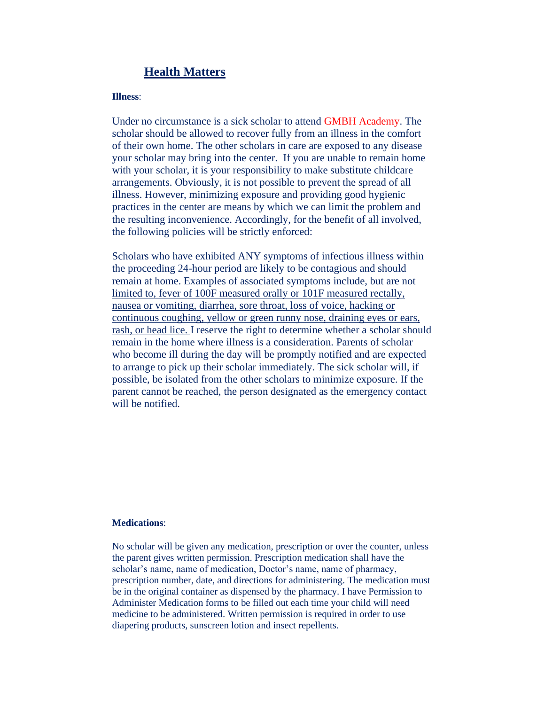# **Health Matters**

## **Illness**:

Under no circumstance is a sick scholar to attend GMBH Academy. The scholar should be allowed to recover fully from an illness in the comfort of their own home. The other scholars in care are exposed to any disease your scholar may bring into the center. If you are unable to remain home with your scholar, it is your responsibility to make substitute childcare arrangements. Obviously, it is not possible to prevent the spread of all illness. However, minimizing exposure and providing good hygienic practices in the center are means by which we can limit the problem and the resulting inconvenience. Accordingly, for the benefit of all involved, the following policies will be strictly enforced:

Scholars who have exhibited ANY symptoms of infectious illness within the proceeding 24-hour period are likely to be contagious and should remain at home. Examples of associated symptoms include, but are not limited to, fever of 100F measured orally or 101F measured rectally, nausea or vomiting, diarrhea, sore throat, loss of voice, hacking or continuous coughing, yellow or green runny nose, draining eyes or ears, rash, or head lice. I reserve the right to determine whether a scholar should remain in the home where illness is a consideration. Parents of scholar who become ill during the day will be promptly notified and are expected to arrange to pick up their scholar immediately. The sick scholar will, if possible, be isolated from the other scholars to minimize exposure. If the parent cannot be reached, the person designated as the emergency contact will be notified.

## **Medications**:

No scholar will be given any medication, prescription or over the counter, unless the parent gives written permission. Prescription medication shall have the scholar's name, name of medication, Doctor's name, name of pharmacy, prescription number, date, and directions for administering. The medication must be in the original container as dispensed by the pharmacy. I have Permission to Administer Medication forms to be filled out each time your child will need medicine to be administered. Written permission is required in order to use diapering products, sunscreen lotion and insect repellents.